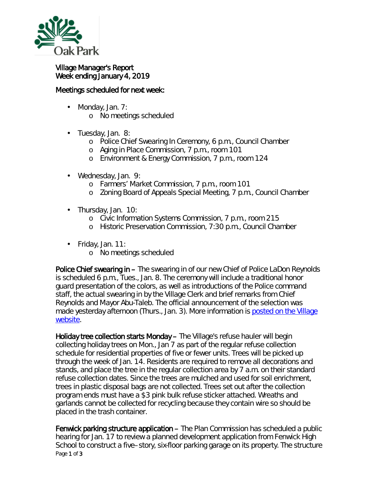

## Village Manager's Report Week ending January 4, 2019

## Meetings scheduled for next week:

- Monday, Jan. 7: ä,
	- o No meetings scheduled
- ä, Tuesday, Jan. 8:
	- o Police Chief Swearing In Ceremony, 6 p.m., Council Chamber
	- o Aging in Place Commission, 7 p.m., room 101
	- o Environment & Energy Commission, 7 p.m., room 124
- $\mathbf{r}^{\prime}$ Wednesday, Jan. 9:
	- o Farmers' Market Commission, 7 p.m., room 101
	- o Zoning Board of Appeals Special Meeting, 7 p.m., Council Chamber
- Thursday, Jan. 10:
	- o Civic Information Systems Commission, 7 p.m., room 215
	- o Historic Preservation Commission, 7:30 p.m., Council Chamber
- $\cdot$  Friday, Jan. 11:
	- o No meetings scheduled

Police Chief swearing in – The swearing in of our new Chief of Police LaDon Reynolds is scheduled 6 p.m., Tues., Jan. 8. The ceremony will include a traditional honor guard presentation of the colors, as well as introductions of the Police command staff, the actual swearing in by the Village Clerk and brief remarks from Chief Reynolds and Mayor Abu-Taleb. The official announcement of the selection was made yesterday afternoon (Thurs., Jan. 3). More information is posted on the Village [website.](https://www.oak-park.us/news/veteran-reynolds-named-new-oak-park-police-chief)

Holiday tree collection starts Monday – The Village's refuse hauler will begin collecting holiday trees on Mon., Jan 7 as part of the regular refuse collection schedule for residential properties of five or fewer units. Trees will be picked up through the week of Jan. 14. Residents are required to remove all decorations and stands, and place the tree in the regular collection area by 7 a.m. on their standard refuse collection dates. Since the trees are mulched and used for soil enrichment, trees in plastic disposal bags are not collected. Trees set out after the collection program ends must have a \$3 pink bulk refuse sticker attached. Wreaths and garlands cannot be collected for recycling because they contain wire so should be placed in the trash container.

Page 1 of 3 Fenwick parking structure application – The Plan Commission has scheduled a public hearing for Jan. 17 to review a planned development application from Fenwick High School to construct a five–story, six-floor parking garage on its property. The structure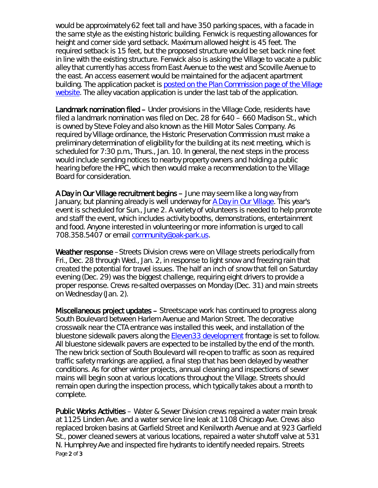would be approximately 62 feet tall and have 350 parking spaces, with a facade in the same style as the existing historic building. Fenwick is requesting allowances for height and corner side yard setback. Maximum allowed height is 45 feet. The required setback is 15 feet, but the proposed structure would be set back nine feet in line with the existing structure. Fenwick also is asking the Village to vacate a public alley that currently has access from East Avenue to the west and Scoville Avenue to the east. An access easement would be maintained for the adjacent apartment building. The application packet is posted on the Plan Commission page of the Village [website.](https://www.oak-park.us/your-government/citizen-commissions/plan-commission) The alley vacation application is under the last tab of the application.

Landmark nomination filed – Under provisions in the Village Code, residents have filed a landmark nomination was filed on Dec. 28 for 640 – 660 Madison St., which is owned by Steve Foley and also known as the *Hill Motor Sales Company.* As required by Village ordinance, the Historic Preservation Commission must make a preliminary determination of eligibility for the building at its next meeting, which is scheduled for 7:30 p.m., Thurs., Jan. 10. In general, the next steps in the process would include sending notices to nearby property owners and holding a public hearing before the HPC, which then would make a recommendation to the Village Board for consideration.

A Day in Our Village recruitment begins – June may seem like a long way from January, but planning already is well underway for *[A Day in Our Village](http://r20.rs6.net/tn.jsp?f=001GdZZXx49daFLFe9pC0psquatYbDnWeevfklqYOAA9SztdKd-ns6fnbfpTPD3IUxT-LH-7yo-MZXXFAUqtviuTDZncbS581wYqvbPbm9_QAyI3YiPMQqb0mEv5oOmjIBVqXerc5VYp4Z0geknZS1lGT_rEqryGVHs2I3akD6iieu88TvA9WLKG_7nCyvWd1oD20DgEMTU7SPJm1aBWOmujqQ9p1MBqI31r1T-hOE_fGeI4R4484g7aoP5RjUHx1IVpV4L-bgZPmQCzMM7ohfyMgz5XxYWSOFnUcCPkUNQ8iqe3rJFVZHFDfoMam4aXEOSzBbU6PsnttRP_e70cICWXw==&c=D-a602It618xg1fazTC5lMLT92pFhXcAzjAx6ORtaSRdqRd5tM1U6g==&ch=-jnyF_7PY7GRv-n0Vj1-uEOzfvAhlCBKLMNAL1TqDDXxmD0_Nj05gg==)*. This year's event is scheduled for Sun., June 2. A variety of volunteers is needed to help promote and staff the event, which includes activity booths, demonstrations, entertainment and food. Anyone interested in volunteering or more information is urged to call 708.358.5407 or email [community@oak-park.us.](mailto:community@oak-park.us)

Weather response – Streets Division crews were on Village streets periodically from Fri., Dec. 28 through Wed., Jan. 2, in response to light snow and freezing rain that created the potential for travel issues. The half an inch of snow that fell on Saturday evening (Dec. 29) was the biggest challenge, requiring eight drivers to provide a proper response. Crews re-salted overpasses on Monday (Dec. 31) and main streets on Wednesday (Jan. 2).

Miscellaneous project updates – Streetscape work has continued to progress along South Boulevard between Harlem Avenue and Marion Street. The decorative crosswalk near the CTA entrance was installed this week, and installation of the bluestone sidewalk pavers along the [Eleven33 development](https://oakparkeconomicdevelopmentcorporation.org/portfolio/lincoln-property-co-development/) frontage is set to follow. All bluestone sidewalk pavers are expected to be installed by the end of the month. The new brick section of South Boulevard will re-open to traffic as soon as required traffic safety markings are applied, a final step that has been delayed by weather conditions. As for other winter projects, annual cleaning and inspections of sewer mains will begin soon at various locations throughout the Village. Streets should remain open during the inspection process, which typically takes about a month to complete.

Page 2 of 3 Public Works Activities – Water & Sewer Division crews repaired a water main break at 1125 Linden Ave. and a water service line leak at 1108 Chicago Ave. Crews also replaced broken basins at Garfield Street and Kenilworth Avenue and at 923 Garfield St., power cleaned sewers at various locations, repaired a water shutoff valve at 531 N. Humphrey Ave and inspected fire hydrants to identify needed repairs. Streets